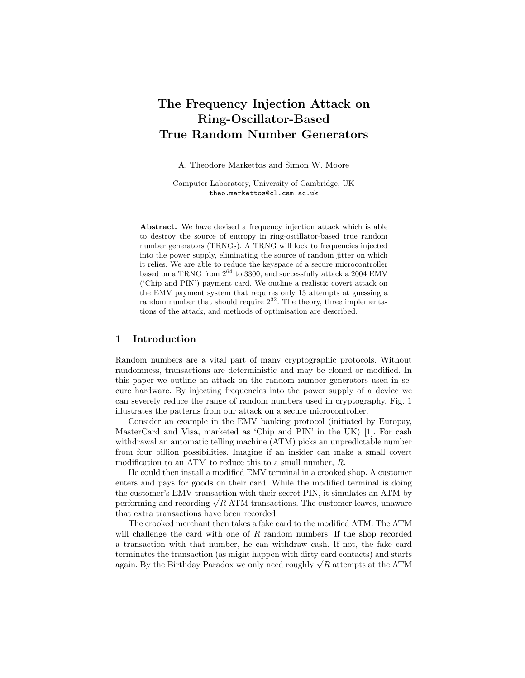# The Frequency Injection Attack on Ring-Oscillator-Based True Random Number Generators

A. Theodore Markettos and Simon W. Moore

Computer Laboratory, University of Cambridge, UK theo.markettos@cl.cam.ac.uk

Abstract. We have devised a frequency injection attack which is able to destroy the source of entropy in ring-oscillator-based true random number generators (TRNGs). A TRNG will lock to frequencies injected into the power supply, eliminating the source of random jitter on which it relies. We are able to reduce the keyspace of a secure microcontroller based on a TRNG from  $2^{64}$  to 3300, and successfully attack a 2004 EMV ('Chip and PIN') payment card. We outline a realistic covert attack on the EMV payment system that requires only 13 attempts at guessing a random number that should require  $2^{32}$ . The theory, three implementations of the attack, and methods of optimisation are described.

# 1 Introduction

Random numbers are a vital part of many cryptographic protocols. Without randomness, transactions are deterministic and may be cloned or modified. In this paper we outline an attack on the random number generators used in secure hardware. By injecting frequencies into the power supply of a device we can severely reduce the range of random numbers used in cryptography. Fig. 1 illustrates the patterns from our attack on a secure microcontroller.

Consider an example in the EMV banking protocol (initiated by Europay, MasterCard and Visa, marketed as 'Chip and PIN' in the UK) [1]. For cash withdrawal an automatic telling machine (ATM) picks an unpredictable number from four billion possibilities. Imagine if an insider can make a small covert modification to an ATM to reduce this to a small number, R.

He could then install a modified EMV terminal in a crooked shop. A customer enters and pays for goods on their card. While the modified terminal is doing the customer's EMV transaction with their secret PIN, it simulates an ATM by the customer's EMV transaction with their secret PIN, it simulates an ATM by performing and recording  $\sqrt{R}$  ATM transactions. The customer leaves, unaware that extra transactions have been recorded.

The crooked merchant then takes a fake card to the modified ATM. The ATM will challenge the card with one of  $R$  random numbers. If the shop recorded a transaction with that number, he can withdraw cash. If not, the fake card terminates the transaction (as might happen with dirty card contacts) and starts terminates the transaction (as might happen with dirty card contacts) and starts<br>again. By the Birthday Paradox we only need roughly  $\sqrt{R}$  attempts at the ATM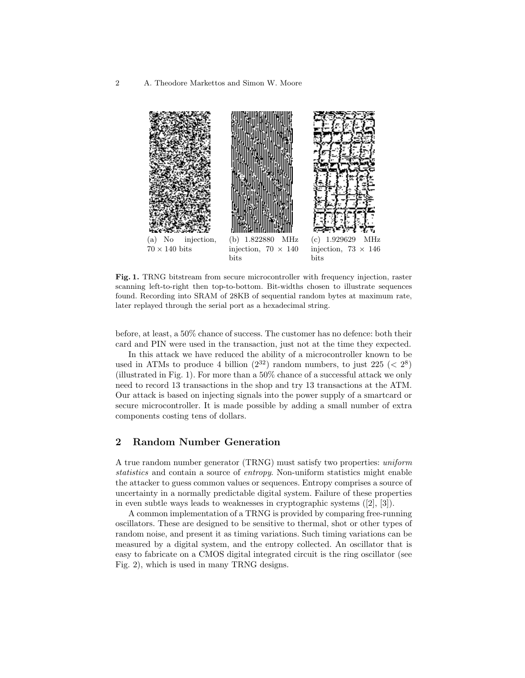

Fig. 1. TRNG bitstream from secure microcontroller with frequency injection, raster scanning left-to-right then top-to-bottom. Bit-widths chosen to illustrate sequences found. Recording into SRAM of 28KB of sequential random bytes at maximum rate, later replayed through the serial port as a hexadecimal string.

before, at least, a 50% chance of success. The customer has no defence: both their card and PIN were used in the transaction, just not at the time they expected.

In this attack we have reduced the ability of a microcontroller known to be used in ATMs to produce 4 billion  $(2^{32})$  random numbers, to just  $225 \ ( $2^8$ )$ (illustrated in Fig. 1). For more than a 50% chance of a successful attack we only need to record 13 transactions in the shop and try 13 transactions at the ATM. Our attack is based on injecting signals into the power supply of a smartcard or secure microcontroller. It is made possible by adding a small number of extra components costing tens of dollars.

# 2 Random Number Generation

A true random number generator (TRNG) must satisfy two properties: uniform statistics and contain a source of entropy. Non-uniform statistics might enable the attacker to guess common values or sequences. Entropy comprises a source of uncertainty in a normally predictable digital system. Failure of these properties in even subtle ways leads to weaknesses in cryptographic systems ([2], [3]).

A common implementation of a TRNG is provided by comparing free-running oscillators. These are designed to be sensitive to thermal, shot or other types of random noise, and present it as timing variations. Such timing variations can be measured by a digital system, and the entropy collected. An oscillator that is easy to fabricate on a CMOS digital integrated circuit is the ring oscillator (see Fig. 2), which is used in many TRNG designs.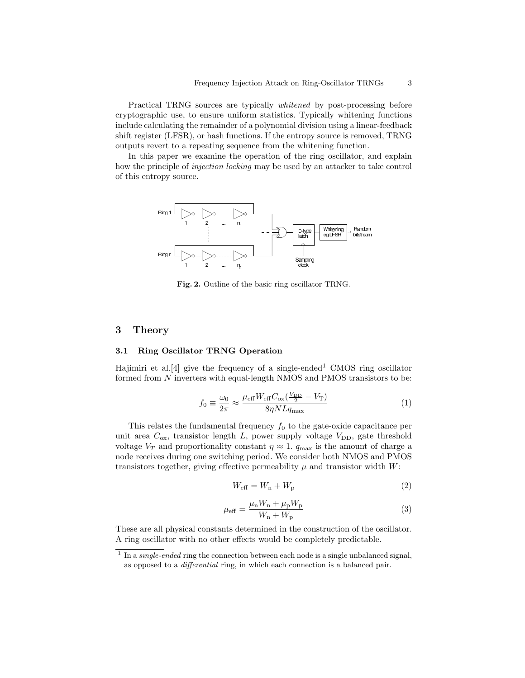Practical TRNG sources are typically whitened by post-processing before cryptographic use, to ensure uniform statistics. Typically whitening functions include calculating the remainder of a polynomial division using a linear-feedback shift register (LFSR), or hash functions. If the entropy source is removed, TRNG outputs revert to a repeating sequence from the whitening function.

In this paper we examine the operation of the ring oscillator, and explain how the principle of injection locking may be used by an attacker to take control of this entropy source.



Fig. 2. Outline of the basic ring oscillator TRNG.

### 3 Theory

### 3.1 Ring Oscillator TRNG Operation

Hajimiri et al. [4] give the frequency of a single-ended<sup>1</sup> CMOS ring oscillator formed from  $N$  inverters with equal-length NMOS and PMOS transistors to be:

$$
f_0 \equiv \frac{\omega_0}{2\pi} \approx \frac{\mu_{\text{eff}} W_{\text{eff}} C_{\text{ox}} (\frac{V_{\text{DD}}}{2} - V_{\text{T}})}{8\eta N L q_{\text{max}}} \tag{1}
$$

This relates the fundamental frequency  $f_0$  to the gate-oxide capacitance per unit area  $C_{\text{ox}}$ , transistor length L, power supply voltage  $V_{\text{DD}}$ , gate threshold voltage  $V_T$  and proportionality constant  $\eta \approx 1$ .  $q_{\text{max}}$  is the amount of charge a node receives during one switching period. We consider both NMOS and PMOS transistors together, giving effective permeability  $\mu$  and transistor width  $W$ :

$$
W_{\text{eff}} = W_{\text{n}} + W_{\text{p}} \tag{2}
$$

$$
\mu_{\text{eff}} = \frac{\mu_{\text{n}} W_{\text{n}} + \mu_{\text{p}} W_{\text{p}}}{W_{\text{n}} + W_{\text{p}}}
$$
\n(3)

These are all physical constants determined in the construction of the oscillator. A ring oscillator with no other effects would be completely predictable.

 $1$  In a *single-ended* ring the connection between each node is a single unbalanced signal, as opposed to a differential ring, in which each connection is a balanced pair.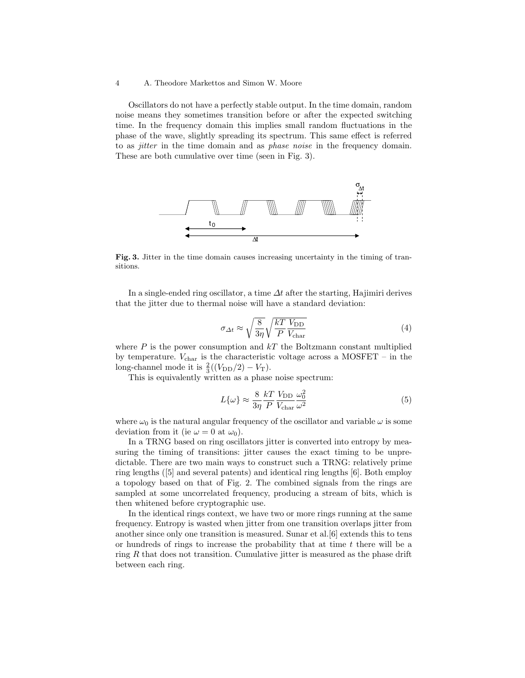Oscillators do not have a perfectly stable output. In the time domain, random noise means they sometimes transition before or after the expected switching time. In the frequency domain this implies small random fluctuations in the phase of the wave, slightly spreading its spectrum. This same effect is referred to as *jitter* in the time domain and as *phase noise* in the frequency domain. These are both cumulative over time (seen in Fig. 3).



Fig. 3. Jitter in the time domain causes increasing uncertainty in the timing of transitions.

In a single-ended ring oscillator, a time  $\Delta t$  after the starting, Hajimiri derives that the jitter due to thermal noise will have a standard deviation:

$$
\sigma_{\Delta t} \approx \sqrt{\frac{8}{3\eta}} \sqrt{\frac{kT}{P} \frac{V_{\text{DD}}}{V_{\text{char}}}}
$$
(4)

where  $P$  is the power consumption and  $kT$  the Boltzmann constant multiplied by temperature.  $V_{\text{char}}$  is the characteristic voltage across a MOSFET – in the long-channel mode it is  $\frac{2}{3}((V_{DD}/2) - V_T)$ .

This is equivalently written as a phase noise spectrum:

$$
L\{\omega\} \approx \frac{8}{3\eta} \frac{kT}{P} \frac{V_{\text{DD}}}{V_{\text{char}}} \frac{\omega_0^2}{\omega^2}
$$
 (5)

where  $\omega_0$  is the natural angular frequency of the oscillator and variable  $\omega$  is some deviation from it (ie  $\omega = 0$  at  $\omega_0$ ).

In a TRNG based on ring oscillators jitter is converted into entropy by measuring the timing of transitions: jitter causes the exact timing to be unpredictable. There are two main ways to construct such a TRNG: relatively prime ring lengths ([5] and several patents) and identical ring lengths [6]. Both employ a topology based on that of Fig. 2. The combined signals from the rings are sampled at some uncorrelated frequency, producing a stream of bits, which is then whitened before cryptographic use.

In the identical rings context, we have two or more rings running at the same frequency. Entropy is wasted when jitter from one transition overlaps jitter from another since only one transition is measured. Sunar et al.[6] extends this to tens or hundreds of rings to increase the probability that at time  $t$  there will be a ring  $R$  that does not transition. Cumulative jitter is measured as the phase drift between each ring.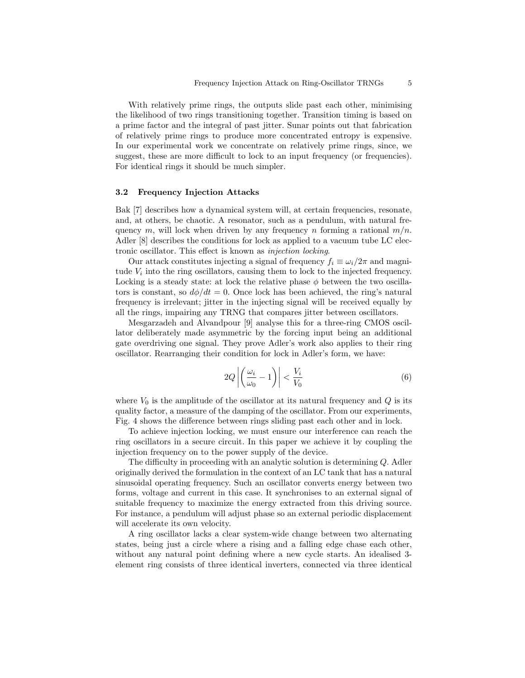With relatively prime rings, the outputs slide past each other, minimising the likelihood of two rings transitioning together. Transition timing is based on a prime factor and the integral of past jitter. Sunar points out that fabrication of relatively prime rings to produce more concentrated entropy is expensive. In our experimental work we concentrate on relatively prime rings, since, we suggest, these are more difficult to lock to an input frequency (or frequencies). For identical rings it should be much simpler.

### 3.2 Frequency Injection Attacks

Bak [7] describes how a dynamical system will, at certain frequencies, resonate, and, at others, be chaotic. A resonator, such as a pendulum, with natural frequency m, will lock when driven by any frequency n forming a rational  $m/n$ . Adler  $[8]$  describes the conditions for lock as applied to a vacuum tube LC electronic oscillator. This effect is known as injection locking.

Our attack constitutes injecting a signal of frequency  $f_i \equiv \omega_i/2\pi$  and magnitude  $V_i$  into the ring oscillators, causing them to lock to the injected frequency. Locking is a steady state: at lock the relative phase  $\phi$  between the two oscillators is constant, so  $d\phi/dt = 0$ . Once lock has been achieved, the ring's natural frequency is irrelevant; jitter in the injecting signal will be received equally by all the rings, impairing any TRNG that compares jitter between oscillators.

Mesgarzadeh and Alvandpour [9] analyse this for a three-ring CMOS oscillator deliberately made asymmetric by the forcing input being an additional gate overdriving one signal. They prove Adler's work also applies to their ring oscillator. Rearranging their condition for lock in Adler's form, we have:

$$
2Q\left|\left(\frac{\omega_i}{\omega_0} - 1\right)\right| < \frac{V_i}{V_0} \tag{6}
$$

where  $V_0$  is the amplitude of the oscillator at its natural frequency and Q is its quality factor, a measure of the damping of the oscillator. From our experiments, Fig. 4 shows the difference between rings sliding past each other and in lock.

To achieve injection locking, we must ensure our interference can reach the ring oscillators in a secure circuit. In this paper we achieve it by coupling the injection frequency on to the power supply of the device.

The difficulty in proceeding with an analytic solution is determining Q. Adler originally derived the formulation in the context of an LC tank that has a natural sinusoidal operating frequency. Such an oscillator converts energy between two forms, voltage and current in this case. It synchronises to an external signal of suitable frequency to maximize the energy extracted from this driving source. For instance, a pendulum will adjust phase so an external periodic displacement will accelerate its own velocity.

A ring oscillator lacks a clear system-wide change between two alternating states, being just a circle where a rising and a falling edge chase each other, without any natural point defining where a new cycle starts. An idealised 3 element ring consists of three identical inverters, connected via three identical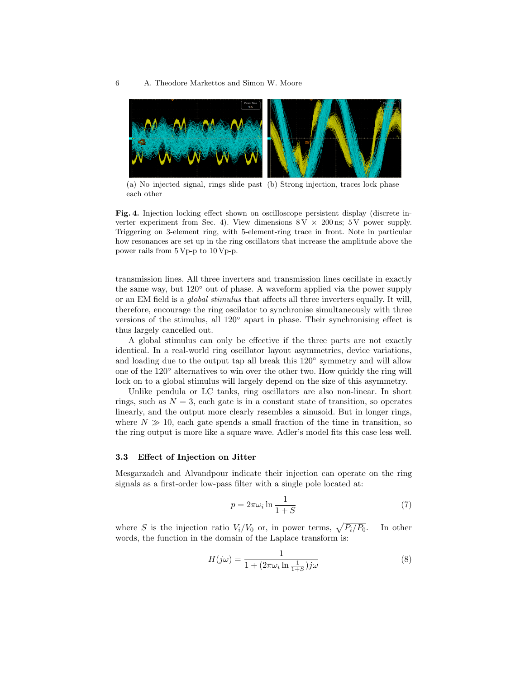

(a) No injected signal, rings slide past (b) Strong injection, traces lock phase each other

Fig. 4. Injection locking effect shown on oscilloscope persistent display (discrete inverter experiment from Sec. 4). View dimensions  $8 \text{V} \times 200 \text{ ns}$ ; 5 V power supply. Triggering on 3-element ring, with 5-element-ring trace in front. Note in particular how resonances are set up in the ring oscillators that increase the amplitude above the power rails from 5 Vp-p to 10 Vp-p.

transmission lines. All three inverters and transmission lines oscillate in exactly the same way, but  $120°$  out of phase. A waveform applied via the power supply or an EM field is a global stimulus that affects all three inverters equally. It will, therefore, encourage the ring oscilator to synchronise simultaneously with three versions of the stimulus, all 120◦ apart in phase. Their synchronising effect is thus largely cancelled out.

A global stimulus can only be effective if the three parts are not exactly identical. In a real-world ring oscillator layout asymmetries, device variations, and loading due to the output tap all break this 120° symmetry and will allow one of the 120◦ alternatives to win over the other two. How quickly the ring will lock on to a global stimulus will largely depend on the size of this asymmetry.

Unlike pendula or LC tanks, ring oscillators are also non-linear. In short rings, such as  $N = 3$ , each gate is in a constant state of transition, so operates linearly, and the output more clearly resembles a sinusoid. But in longer rings, where  $N \gg 10$ , each gate spends a small fraction of the time in transition, so the ring output is more like a square wave. Adler's model fits this case less well.

### 3.3 Effect of Injection on Jitter

Mesgarzadeh and Alvandpour indicate their injection can operate on the ring signals as a first-order low-pass filter with a single pole located at:

$$
p = 2\pi\omega_i \ln \frac{1}{1+S} \tag{7}
$$

where S is the injection ratio  $V_i/V_0$  or, in power terms,  $\sqrt{P_i/P_0}$ . In other words, the function in the domain of the Laplace transform is:

$$
H(j\omega) = \frac{1}{1 + (2\pi\omega_i \ln\frac{1}{1+S})j\omega}
$$
\n(8)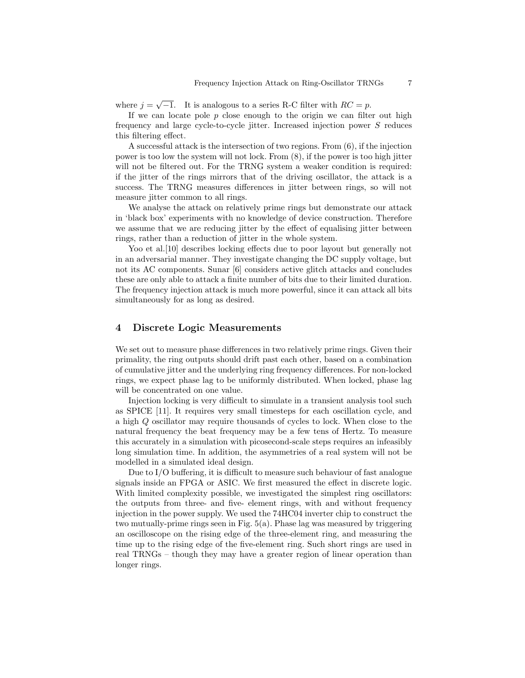where  $j = \sqrt{-1}$ . It is analogous to a series R-C filter with  $RC = p$ .

If we can locate pole  $p$  close enough to the origin we can filter out high frequency and large cycle-to-cycle jitter. Increased injection power S reduces this filtering effect.

A successful attack is the intersection of two regions. From (6), if the injection power is too low the system will not lock. From (8), if the power is too high jitter will not be filtered out. For the TRNG system a weaker condition is required: if the jitter of the rings mirrors that of the driving oscillator, the attack is a success. The TRNG measures differences in jitter between rings, so will not measure jitter common to all rings.

We analyse the attack on relatively prime rings but demonstrate our attack in 'black box' experiments with no knowledge of device construction. Therefore we assume that we are reducing jitter by the effect of equalising jitter between rings, rather than a reduction of jitter in the whole system.

Yoo et al.<sup>[10]</sup> describes locking effects due to poor layout but generally not in an adversarial manner. They investigate changing the DC supply voltage, but not its AC components. Sunar [6] considers active glitch attacks and concludes these are only able to attack a finite number of bits due to their limited duration. The frequency injection attack is much more powerful, since it can attack all bits simultaneously for as long as desired.

## 4 Discrete Logic Measurements

We set out to measure phase differences in two relatively prime rings. Given their primality, the ring outputs should drift past each other, based on a combination of cumulative jitter and the underlying ring frequency differences. For non-locked rings, we expect phase lag to be uniformly distributed. When locked, phase lag will be concentrated on one value.

Injection locking is very difficult to simulate in a transient analysis tool such as SPICE [11]. It requires very small timesteps for each oscillation cycle, and a high Q oscillator may require thousands of cycles to lock. When close to the natural frequency the beat frequency may be a few tens of Hertz. To measure this accurately in a simulation with picosecond-scale steps requires an infeasibly long simulation time. In addition, the asymmetries of a real system will not be modelled in a simulated ideal design.

Due to I/O buffering, it is difficult to measure such behaviour of fast analogue signals inside an FPGA or ASIC. We first measured the effect in discrete logic. With limited complexity possible, we investigated the simplest ring oscillators: the outputs from three- and five- element rings, with and without frequency injection in the power supply. We used the 74HC04 inverter chip to construct the two mutually-prime rings seen in Fig. 5(a). Phase lag was measured by triggering an oscilloscope on the rising edge of the three-element ring, and measuring the time up to the rising edge of the five-element ring. Such short rings are used in real TRNGs – though they may have a greater region of linear operation than longer rings.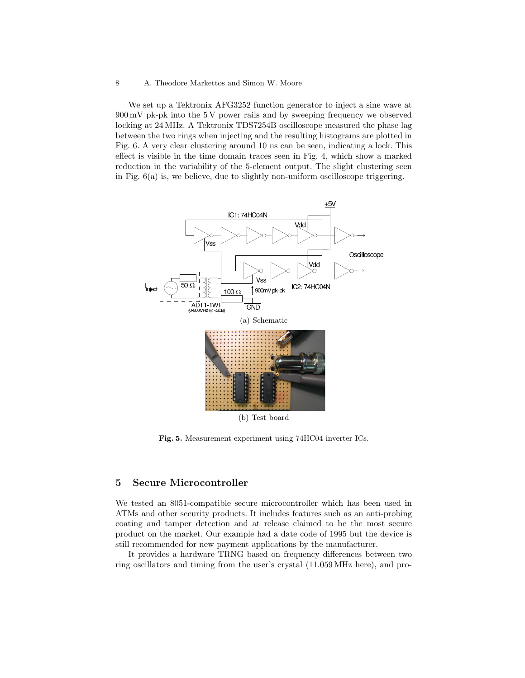We set up a Tektronix AFG3252 function generator to inject a sine wave at 900 mV pk-pk into the 5 V power rails and by sweeping frequency we observed locking at 24 MHz. A Tektronix TDS7254B oscilloscope measured the phase lag between the two rings when injecting and the resulting histograms are plotted in Fig. 6. A very clear clustering around 10 ns can be seen, indicating a lock. This effect is visible in the time domain traces seen in Fig. 4, which show a marked reduction in the variability of the 5-element output. The slight clustering seen in Fig.  $6(a)$  is, we believe, due to slightly non-uniform oscilloscope triggering.



(b) Test board

Fig. 5. Measurement experiment using 74HC04 inverter ICs.

# 5 Secure Microcontroller

We tested an 8051-compatible secure microcontroller which has been used in ATMs and other security products. It includes features such as an anti-probing coating and tamper detection and at release claimed to be the most secure product on the market. Our example had a date code of 1995 but the device is still recommended for new payment applications by the manufacturer.

It provides a hardware TRNG based on frequency differences between two ring oscillators and timing from the user's crystal (11.059 MHz here), and pro-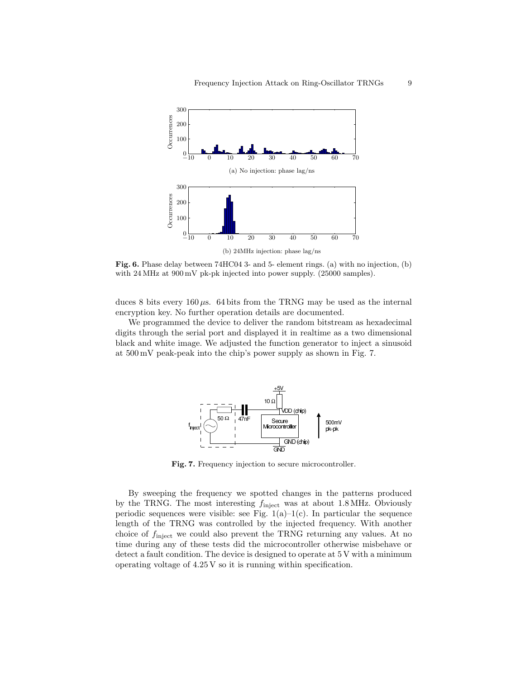

Fig. 6. Phase delay between 74HC04 3- and 5- element rings. (a) with no injection, (b) with 24 MHz at 900 mV pk-pk injected into power supply. (25000 samples).

duces 8 bits every  $160 \mu s$ . 64 bits from the TRNG may be used as the internal encryption key. No further operation details are documented.

We programmed the device to deliver the random bitstream as hexadecimal digits through the serial port and displayed it in realtime as a two dimensional black and white image. We adjusted the function generator to inject a sinusoid at 500 mV peak-peak into the chip's power supply as shown in Fig. 7.



Fig. 7. Frequency injection to secure microcontroller.

By sweeping the frequency we spotted changes in the patterns produced by the TRNG. The most interesting finject was at about 1.8 MHz. Obviously periodic sequences were visible: see Fig.  $1(a)-1(c)$ . In particular the sequence length of the TRNG was controlled by the injected frequency. With another choice of  $f_{\text{inject}}$  we could also prevent the TRNG returning any values. At no time during any of these tests did the microcontroller otherwise misbehave or detect a fault condition. The device is designed to operate at 5 V with a minimum operating voltage of 4.25 V so it is running within specification.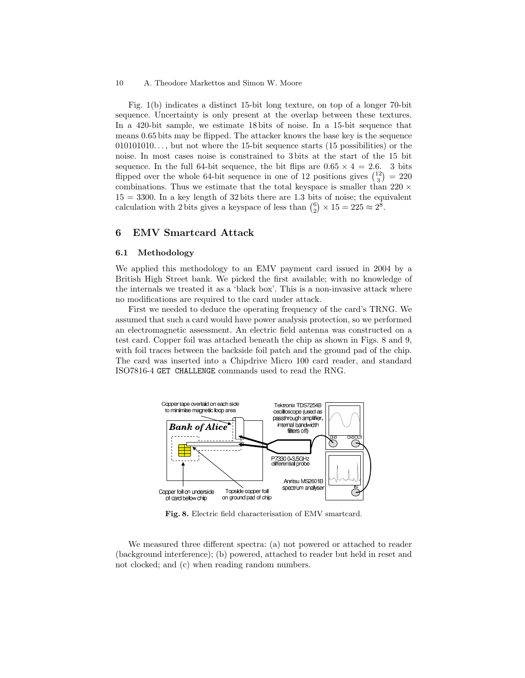Fig. 1(b) indicates a distinct 15-bit long texture, on top of a longer 70-bit sequence. Uncertainty is only present at the overlap between these textures. In a 420-bit sample, we estimate 18 bits of noise. In a 15-bit sequence that means 0.65 bits may be flipped. The attacker knows the base key is the sequence  $010101010...$ , but not where the 15-bit sequence starts (15 possibilities) or the noise. In most cases noise is constrained to 3 bits at the start of the 15 bit sequence. In the full 64-bit sequence, the bit flips are  $0.65 \times 4 = 2.6$ . 3 bits flipped over the whole 64-bit sequence in one of 12 positions gives  $\binom{12}{3} = 220$ combinations. Thus we estimate that the total keyspace is smaller than  $220 \times$  $15 = 3300$ . In a key length of  $32 \text{ bits}$  there are 1.3 bits of noise; the equivalent calculation with 2 bits gives a keyspace of less than  $\binom{6}{2} \times 15 = 225 \approx 2^8$ .

# 6 EMV Smartcard Attack

### 6.1 Methodology

We applied this methodology to an EMV payment card issued in 2004 by a British High Street bank. We picked the first available; with no knowledge of the internals we treated it as a 'black box'. This is a non-invasive attack where no modifications are required to the card under attack.

First we needed to deduce the operating frequency of the card's TRNG. We assumed that such a card would have power analysis protection, so we performed an electromagnetic assessment. An electric field antenna was constructed on a test card. Copper foil was attached beneath the chip as shown in Figs. 8 and 9, with foil traces between the backside foil patch and the ground pad of the chip. The card was inserted into a Chipdrive Micro 100 card reader, and standard ISO7816-4 GET CHALLENGE commands used to read the RNG.



Fig. 8. Electric field characterisation of EMV smartcard.

We measured three different spectra: (a) not powered or attached to reader (background interference); (b) powered, attached to reader but held in reset and not clocked; and (c) when reading random numbers.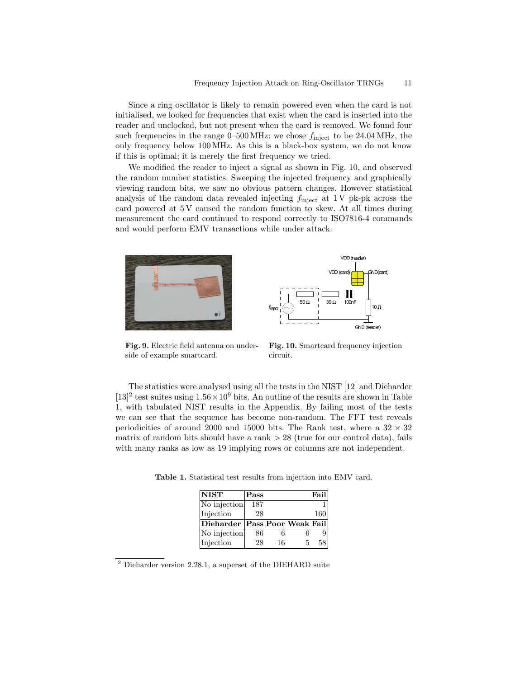Since a ring oscillator is likely to remain powered even when the card is not initialised, we looked for frequencies that exist when the card is inserted into the reader and unclocked, but not present when the card is removed. We found four such frequencies in the range  $0-500$  MHz: we chose  $f_{\text{inject}}$  to be 24.04 MHz, the only frequency below 100 MHz. As this is a black-box system, we do not know if this is optimal; it is merely the first frequency we tried.

We modified the reader to inject a signal as shown in Fig. 10, and observed the random number statistics. Sweeping the injected frequency and graphically viewing random bits, we saw no obvious pattern changes. However statistical analysis of the random data revealed injecting  $f_{\text{inject}}$  at 1 V pk-pk across the card powered at 5 V caused the random function to skew. At all times during measurement the card continued to respond correctly to ISO7816-4 commands and would perform EMV transactions while under attack.



Fig. 9. Electric field antenna on underside of example smartcard.



Fig. 10. Smartcard frequency injection circuit.

The statistics were analysed using all the tests in the NIST [12] and Dieharder  $[13]^2$  test suites using  $1.56 \times 10^9$  bits. An outline of the results are shown in Table 1, with tabulated NIST results in the Appendix. By failing most of the tests we can see that the sequence has become non-random. The FFT test reveals periodicities of around 2000 and 15000 bits. The Rank test, where a  $32 \times 32$ matrix of random bits should have a rank  $> 28$  (true for our control data), fails with many ranks as low as 19 implying rows or columns are not independent.

NIST Pass Fail No injection 187 1 Injection 28 160 Dieharder | Pass Poor Weak Fail No injection 86 6 6 9 Injection 28 16 5 58

Table 1. Statistical test results from injection into EMV card.

<sup>2</sup> Dieharder version 2.28.1, a superset of the DIEHARD suite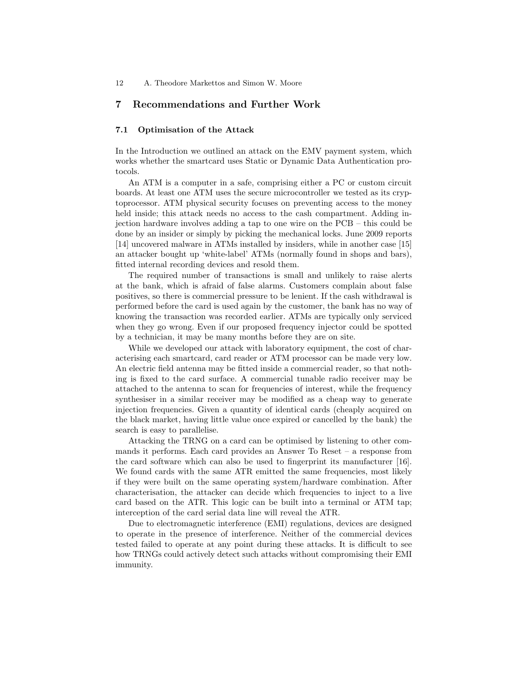# 7 Recommendations and Further Work

## 7.1 Optimisation of the Attack

In the Introduction we outlined an attack on the EMV payment system, which works whether the smartcard uses Static or Dynamic Data Authentication protocols.

An ATM is a computer in a safe, comprising either a PC or custom circuit boards. At least one ATM uses the secure microcontroller we tested as its cryptoprocessor. ATM physical security focuses on preventing access to the money held inside; this attack needs no access to the cash compartment. Adding injection hardware involves adding a tap to one wire on the PCB – this could be done by an insider or simply by picking the mechanical locks. June 2009 reports [14] uncovered malware in ATMs installed by insiders, while in another case [15] an attacker bought up 'white-label' ATMs (normally found in shops and bars), fitted internal recording devices and resold them.

The required number of transactions is small and unlikely to raise alerts at the bank, which is afraid of false alarms. Customers complain about false positives, so there is commercial pressure to be lenient. If the cash withdrawal is performed before the card is used again by the customer, the bank has no way of knowing the transaction was recorded earlier. ATMs are typically only serviced when they go wrong. Even if our proposed frequency injector could be spotted by a technician, it may be many months before they are on site.

While we developed our attack with laboratory equipment, the cost of characterising each smartcard, card reader or ATM processor can be made very low. An electric field antenna may be fitted inside a commercial reader, so that nothing is fixed to the card surface. A commercial tunable radio receiver may be attached to the antenna to scan for frequencies of interest, while the frequency synthesiser in a similar receiver may be modified as a cheap way to generate injection frequencies. Given a quantity of identical cards (cheaply acquired on the black market, having little value once expired or cancelled by the bank) the search is easy to parallelise.

Attacking the TRNG on a card can be optimised by listening to other commands it performs. Each card provides an Answer To Reset – a response from the card software which can also be used to fingerprint its manufacturer [16]. We found cards with the same ATR emitted the same frequencies, most likely if they were built on the same operating system/hardware combination. After characterisation, the attacker can decide which frequencies to inject to a live card based on the ATR. This logic can be built into a terminal or ATM tap; interception of the card serial data line will reveal the ATR.

Due to electromagnetic interference (EMI) regulations, devices are designed to operate in the presence of interference. Neither of the commercial devices tested failed to operate at any point during these attacks. It is difficult to see how TRNGs could actively detect such attacks without compromising their EMI immunity.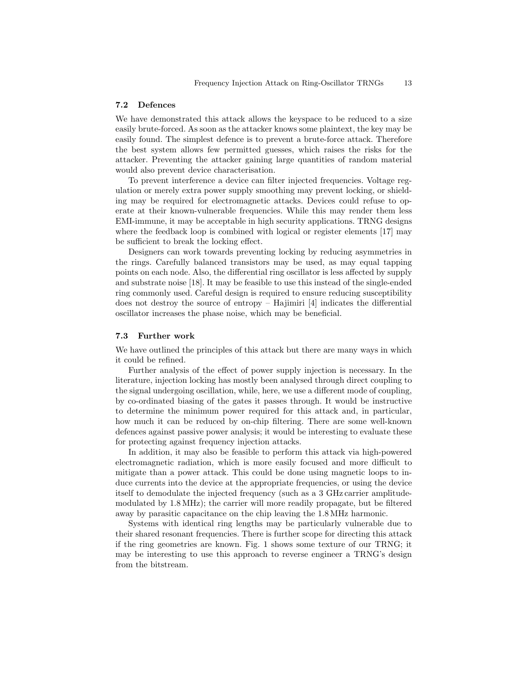### 7.2 Defences

We have demonstrated this attack allows the keyspace to be reduced to a size easily brute-forced. As soon as the attacker knows some plaintext, the key may be easily found. The simplest defence is to prevent a brute-force attack. Therefore the best system allows few permitted guesses, which raises the risks for the attacker. Preventing the attacker gaining large quantities of random material would also prevent device characterisation.

To prevent interference a device can filter injected frequencies. Voltage regulation or merely extra power supply smoothing may prevent locking, or shielding may be required for electromagnetic attacks. Devices could refuse to operate at their known-vulnerable frequencies. While this may render them less EMI-immune, it may be acceptable in high security applications. TRNG designs where the feedback loop is combined with logical or register elements [17] may be sufficient to break the locking effect.

Designers can work towards preventing locking by reducing asymmetries in the rings. Carefully balanced transistors may be used, as may equal tapping points on each node. Also, the differential ring oscillator is less affected by supply and substrate noise [18]. It may be feasible to use this instead of the single-ended ring commonly used. Careful design is required to ensure reducing susceptibility does not destroy the source of entropy – Hajimiri [4] indicates the differential oscillator increases the phase noise, which may be beneficial.

### 7.3 Further work

We have outlined the principles of this attack but there are many ways in which it could be refined.

Further analysis of the effect of power supply injection is necessary. In the literature, injection locking has mostly been analysed through direct coupling to the signal undergoing oscillation, while, here, we use a different mode of coupling, by co-ordinated biasing of the gates it passes through. It would be instructive to determine the minimum power required for this attack and, in particular, how much it can be reduced by on-chip filtering. There are some well-known defences against passive power analysis; it would be interesting to evaluate these for protecting against frequency injection attacks.

In addition, it may also be feasible to perform this attack via high-powered electromagnetic radiation, which is more easily focused and more difficult to mitigate than a power attack. This could be done using magnetic loops to induce currents into the device at the appropriate frequencies, or using the device itself to demodulate the injected frequency (such as a 3 GHz carrier amplitudemodulated by 1.8 MHz); the carrier will more readily propagate, but be filtered away by parasitic capacitance on the chip leaving the 1.8 MHz harmonic.

Systems with identical ring lengths may be particularly vulnerable due to their shared resonant frequencies. There is further scope for directing this attack if the ring geometries are known. Fig. 1 shows some texture of our TRNG; it may be interesting to use this approach to reverse engineer a TRNG's design from the bitstream.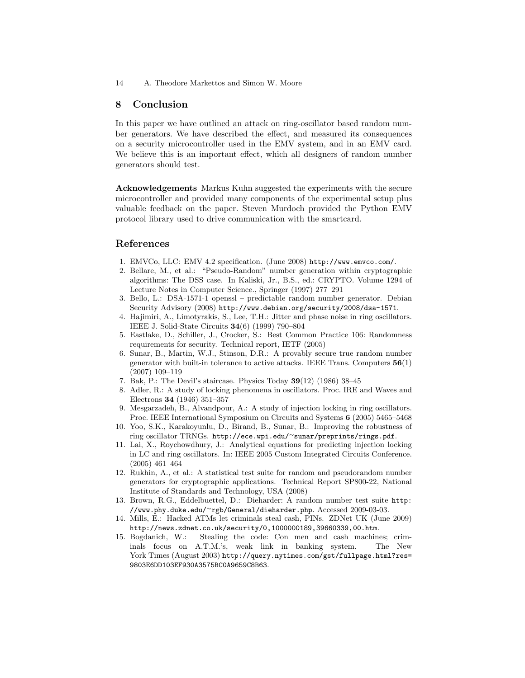# 8 Conclusion

In this paper we have outlined an attack on ring-oscillator based random number generators. We have described the effect, and measured its consequences on a security microcontroller used in the EMV system, and in an EMV card. We believe this is an important effect, which all designers of random number generators should test.

Acknowledgements Markus Kuhn suggested the experiments with the secure microcontroller and provided many components of the experimental setup plus valuable feedback on the paper. Steven Murdoch provided the Python EMV protocol library used to drive communication with the smartcard.

# References

- 1. EMVCo, LLC: EMV 4.2 specification. (June 2008) http://www.emvco.com/.
- 2. Bellare, M., et al.: "Pseudo-Random" number generation within cryptographic algorithms: The DSS case. In Kaliski, Jr., B.S., ed.: CRYPTO. Volume 1294 of Lecture Notes in Computer Science., Springer (1997) 277–291
- 3. Bello, L.: DSA-1571-1 openssl predictable random number generator. Debian Security Advisory (2008) http://www.debian.org/security/2008/dsa-1571.
- 4. Hajimiri, A., Limotyrakis, S., Lee, T.H.: Jitter and phase noise in ring oscillators. IEEE J. Solid-State Circuits 34(6) (1999) 790–804
- 5. Eastlake, D., Schiller, J., Crocker, S.: Best Common Practice 106: Randomness requirements for security. Technical report, IETF (2005)
- 6. Sunar, B., Martin, W.J., Stinson, D.R.: A provably secure true random number generator with built-in tolerance to active attacks. IEEE Trans. Computers  $56(1)$ (2007) 109–119
- 7. Bak, P.: The Devil's staircase. Physics Today 39(12) (1986) 38–45
- 8. Adler, R.: A study of locking phenomena in oscillators. Proc. IRE and Waves and Electrons 34 (1946) 351–357
- 9. Mesgarzadeh, B., Alvandpour, A.: A study of injection locking in ring oscillators. Proc. IEEE International Symposium on Circuits and Systems 6 (2005) 5465–5468
- 10. Yoo, S.K., Karakoyunlu, D., Birand, B., Sunar, B.: Improving the robustness of ring oscillator TRNGs. http://ece.wpi.edu/<sup>∼</sup>sunar/preprints/rings.pdf.
- 11. Lai, X., Roychowdhury, J.: Analytical equations for predicting injection locking in LC and ring oscillators. In: IEEE 2005 Custom Integrated Circuits Conference. (2005) 461–464
- 12. Rukhin, A., et al.: A statistical test suite for random and pseudorandom number generators for cryptographic applications. Technical Report SP800-22, National Institute of Standards and Technology, USA (2008)
- 13. Brown, R.G., Eddelbuettel, D.: Dieharder: A random number test suite http: //www.phy.duke.edu/<sup>∼</sup>rgb/General/dieharder.php. Accessed 2009-03-03.
- 14. Mills, E.: Hacked ATMs let criminals steal cash, PINs. ZDNet UK (June 2009) http://news.zdnet.co.uk/security/0,1000000189,39660339,00.htm.
- 15. Bogdanich, W.: Stealing the code: Con men and cash machines; criminals focus on A.T.M.'s, weak link in banking system. The New York Times (August 2003) http://query.nytimes.com/gst/fullpage.html?res= 9803E6DD103EF930A3575BC0A9659C8B63.